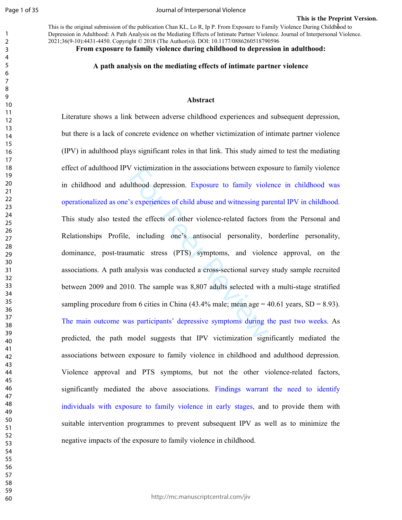Journal of Interpersonal Violence

This is the original submission of the publication Chan KL, Lo R, Ip P. From Exposure to Family Violence During Childhbod to Depression in Adulthood: A Path Analysis on the Mediating Effects of Intimate Partner Violence. Journal of Interpersonal Violence. 2021;36(9-10):4431-4450. Copyright © 2018 (The Author(s)). DOI: 10.1177/0886260518790596

**From exposure to family violence during childhood to depression in adulthood:** 

### **A path analysis on the mediating effects of intimate partner violence**

#### **Abstract**

v victimization in the associations between experiences of child abuse and witnessing parall the effects of other violence-related factors including one's antisocial personality, and including one's antisocial personality Literature shows a link between adverse childhood experiences and subsequent depression, but there is a lack of concrete evidence on whether victimization of intimate partner violence (IPV) in adulthood plays significant roles in that link. This study aimed to test the mediating effect of adulthood IPV victimization in the associations between exposure to family violence in childhood and adulthood depression. Exposure to family violence in childhood was operationalized as one's experiences of child abuse and witnessing parental IPV in childhood. This study also tested the effects of other violence-related factors from the Personal and Relationships Profile, including one's antisocial personality, borderline personality, dominance, post-traumatic stress (PTS) symptoms, and violence approval, on the associations. A path analysis was conducted a cross-sectional survey study sample recruited between 2009 and 2010. The sample was 8,807 adults selected with a multi-stage stratified sampling procedure from 6 cities in China  $(43.4\%$  male; mean age = 40.61 years, SD = 8.93). The main outcome was participants' depressive symptoms during the past two weeks. As predicted, the path model suggests that IPV victimization significantly mediated the associations between exposure to family violence in childhood and adulthood depression. Violence approval and PTS symptoms, but not the other violence-related factors, significantly mediated the above associations. Findings warrant the need to identify individuals with exposure to family violence in early stages, and to provide them with suitable intervention programmes to prevent subsequent IPV as well as to minimize the negative impacts of the exposure to family violence in childhood.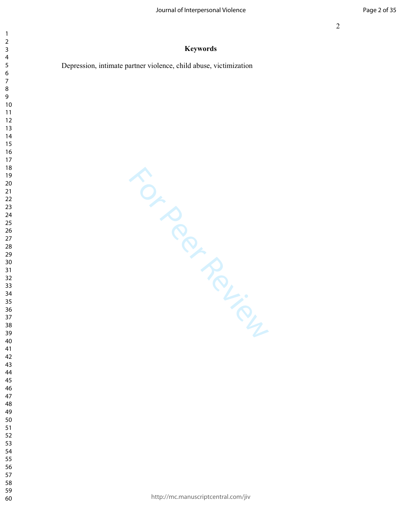# **Keywords**

Depression, intimate partner violence, child abuse, victimization

 $\mathbf{1}$  $\overline{2}$  $\overline{\mathbf{4}}$  $\overline{7}$ 

For Per Review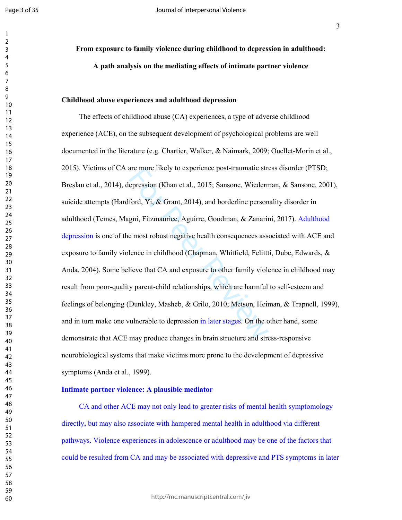Page 3 of 35

**From exposure to family violence during childhood to depression in adulthood: A path analysis on the mediating effects of intimate partner violence** 

### **Childhood abuse experiences and adulthood depression**

are more likely to experience post-traumatic streep<br>repression (Khan et al., 2015; Sansone, Wiedern<br>ford, Yi, & Grant, 2014), and borderline person<br>gni, Fitzmaurice, Aguirre, Goodman, & Zanarin<br>e most robust negative healt The effects of childhood abuse (CA) experiences, a type of adverse childhood experience (ACE), on the subsequent development of psychological problems are well documented in the literature (e.g. Chartier, Walker, & Naimark, 2009; Ouellet-Morin et al., 2015). Victims of CA are more likely to experience post-traumatic stress disorder (PTSD; Breslau et al., 2014), depression (Khan et al., 2015; Sansone, Wiederman, & Sansone, 2001), suicide attempts (Hardford, Yi, & Grant, 2014), and borderline personality disorder in adulthood (Temes, Magni, Fitzmaurice, Aguirre, Goodman, & Zanarini, 2017). Adulthood depression is one of the most robust negative health consequences associated with ACE and exposure to family violence in childhood (Chapman, Whitfield, Felittti, Dube, Edwards, & Anda, 2004). Some believe that CA and exposure to other family violence in childhood may result from poor-quality parent-child relationships, which are harmful to self-esteem and feelings of belonging (Dunkley, Masheb, & Grilo, 2010; Metson, Heiman, & Trapnell, 1999), and in turn make one vulnerable to depression in later stages. On the other hand, some demonstrate that ACE may produce changes in brain structure and stress-responsive neurobiological systems that make victims more prone to the development of depressive symptoms (Anda et al., 1999).

# **Intimate partner violence: A plausible mediator**

CA and other ACE may not only lead to greater risks of mental health symptomology directly, but may also associate with hampered mental health in adulthood via different pathways. Violence experiences in adolescence or adulthood may be one of the factors that could be resulted from CA and may be associated with depressive and PTS symptoms in later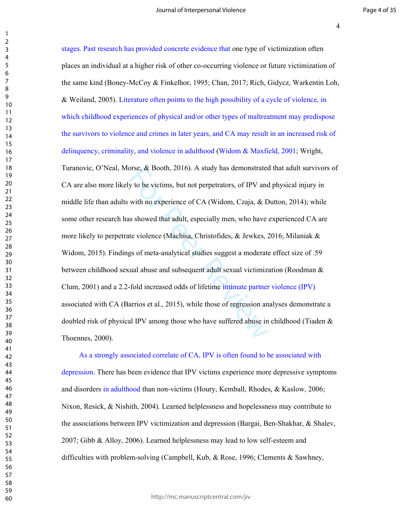Thoennes, 2000).

boostopy to be victims, but not perpetrators, of IPV and<br>with no experience of CA (Widom, Czaja, & D<br>as showed that adult, especially men, who have the violence (Machisa, Christofides, & Jewkes, 2<br>gs of meta-analytical st stages. Past research has provided concrete evidence that one type of victimization often places an individual at a higher risk of other co-occurring violence or future victimization of the same kind (Boney-McCoy & Finkelhor, 1995; Chan, 2017; Rich, Gidycz, Warkentin Loh, & Weiland, 2005). Literature often points to the high possibility of a cycle of violence, in which childhood experiences of physical and/or other types of maltreatment may predispose the survivors to violence and crimes in later years, and CA may result in an increased risk of delinquency, criminality, and violence in adulthood (Widom & Maxfield, 2001; Wright, Turanovic, O'Neal, Morse, & Booth, 2016). A study has demonstrated that adult survivors of CA are also more likely to be victims, but not perpetrators, of IPV and physical injury in middle life than adults with no experience of CA (Widom, Czaja, & Dutton, 2014); while some other research has showed that adult, especially men, who have experienced CA are more likely to perpetrate violence (Machisa, Christofides, & Jewkes, 2016; Milaniak & Widom, 2015). Findings of meta-analytical studies suggest a moderate effect size of .59 between childhood sexual abuse and subsequent adult sexual victimization (Roodman & Clum, 2001) and a 2.2-fold increased odds of lifetime intimate partner violence (IPV) associated with CA (Barrios et al., 2015), while those of regression analyses demonstrate a doubled risk of physical IPV among those who have suffered abuse in childhood (Tiaden &

As a strongly associated correlate of CA, IPV is often found to be associated with depression. There has been evidence that IPV victims experience more depressive symptoms and disorders in adulthood than non-victims (Houry, Kemball, Rhodes, & Kaslow, 2006; Nixon, Resick, & Nishith, 2004). Learned helplessness and hopelessness may contribute to the associations between IPV victimization and depression (Bargai, Ben-Shakhar, & Shalev, 2007; Gibb & Alloy, 2006). Learned helplessness may lead to low self-esteem and difficulties with problem-solving (Campbell, Kub, & Rose, 1996; Clements & Sawhney,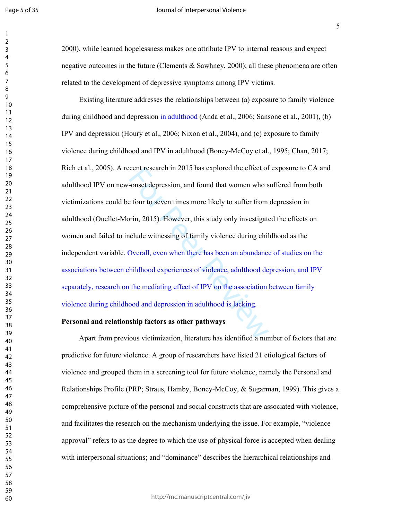#### Journal of Interpersonal Violence

2000), while learned hopelessness makes one attribute IPV to internal reasons and expect negative outcomes in the future (Clements & Sawhney, 2000); all these phenomena are often related to the development of depressive symptoms among IPV victims.

cent research in 2015 has explored the effect of<br>-onset depression, and found that women who s<br>e four to seven times more likely to suffer from<br>prin, 2015). However, this study only investigate<br>clude witnessing of family v Existing literature addresses the relationships between (a) exposure to family violence during childhood and depression in adulthood (Anda et al., 2006; Sansone et al., 2001), (b) IPV and depression (Houry et al., 2006; Nixon et al., 2004), and (c) exposure to family violence during childhood and IPV in adulthood (Boney-McCoy et al., 1995; Chan, 2017; Rich et al., 2005). A recent research in 2015 has explored the effect of exposure to CA and adulthood IPV on new-onset depression, and found that women who suffered from both victimizations could be four to seven times more likely to suffer from depression in adulthood (Ouellet-Morin, 2015). However, this study only investigated the effects on women and failed to include witnessing of family violence during childhood as the independent variable. Overall, even when there has been an abundance of studies on the associations between childhood experiences of violence, adulthood depression, and IPV separately, research on the mediating effect of IPV on the association between family violence during childhood and depression in adulthood is lacking.

# **Personal and relationship factors as other pathways**

Apart from previous victimization, literature has identified a number of factors that are predictive for future violence. A group of researchers have listed 21 etiological factors of violence and grouped them in a screening tool for future violence, namely the Personal and Relationships Profile (PRP; Straus, Hamby, Boney-McCoy, & Sugarman, 1999). This gives a comprehensive picture of the personal and social constructs that are associated with violence, and facilitates the research on the mechanism underlying the issue. For example, "violence approval" refers to as the degree to which the use of physical force is accepted when dealing with interpersonal situations; and "dominance" describes the hierarchical relationships and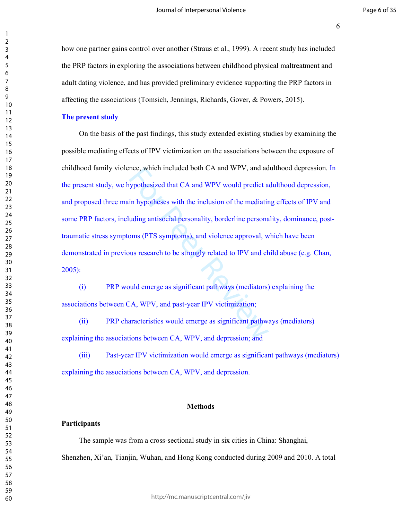how one partner gains control over another (Straus et al., 1999). A recent study has included the PRP factors in exploring the associations between childhood physical maltreatment and adult dating violence, and has provided preliminary evidence supporting the PRP factors in affecting the associations (Tomsich, Jennings, Richards, Gover, & Powers, 2015).

### **The present study**

nce, which included both CA and WPV, and ad<br>sypothesized that CA and WPV would predict a<br>in hypotheses with the inclusion of the mediatir<br>uding antisocial personality, borderline persona<br>oms (PTS symptoms), and violence ap On the basis of the past findings, this study extended existing studies by examining the possible mediating effects of IPV victimization on the associations between the exposure of childhood family violence, which included both CA and WPV, and adulthood depression. In the present study, we hypothesized that CA and WPV would predict adulthood depression, and proposed three main hypotheses with the inclusion of the mediating effects of IPV and some PRP factors, including antisocial personality, borderline personality, dominance, posttraumatic stress symptoms (PTS symptoms), and violence approval, which have been demonstrated in previous research to be strongly related to IPV and child abuse (e.g. Chan, 2005):

(i) PRP would emerge as significant pathways (mediators) explaining the associations between CA, WPV, and past-year IPV victimization;

(ii) PRP characteristics would emerge as significant pathways (mediators) explaining the associations between CA, WPV, and depression; and

(iii) Past-year IPV victimization would emerge as significant pathways (mediators) explaining the associations between CA, WPV, and depression.

### **Methods**

## **Participants**

The sample was from a cross-sectional study in six cities in China: Shanghai, Shenzhen, Xi'an, Tianjin, Wuhan, and Hong Kong conducted during 2009 and 2010. A total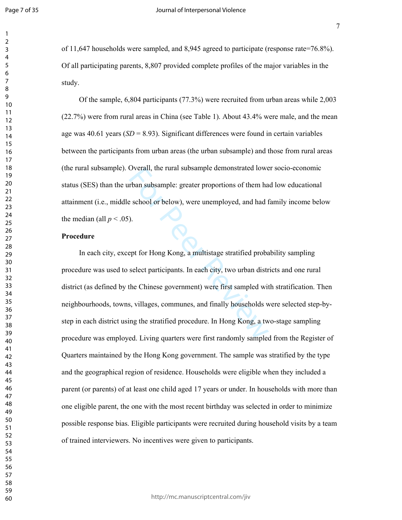of 11,647 households were sampled, and 8,945 agreed to participate (response rate=76.8%). Of all participating parents, 8,807 provided complete profiles of the major variables in the study.

Of the sample, 6,804 participants (77.3%) were recruited from urban areas while 2,003 (22.7%) were from rural areas in China (see Table 1). About 43.4% were male, and the mean age was 40.61 years (*SD* = 8.93). Significant differences were found in certain variables between the participants from urban areas (the urban subsample) and those from rural areas (the rural subsample). Overall, the rural subsample demonstrated lower socio-economic status (SES) than the urban subsample: greater proportions of them had low educational attainment (i.e., middle school or below), were unemployed, and had family income below the median (all  $p < .05$ ).

# **Procedure**

Overall, the rural subsample demonstrated lowe<br>
rban subsample: greater proportions of them ha<br>
e school or below), were unemployed, and had f<br>
).<br>
D.<br>
Sept for Hong Kong, a multistage stratified proba<br>
select participants In each city, except for Hong Kong, a multistage stratified probability sampling procedure was used to select participants. In each city, two urban districts and one rural district (as defined by the Chinese government) were first sampled with stratification. Then neighbourhoods, towns, villages, communes, and finally households were selected step-bystep in each district using the stratified procedure. In Hong Kong, a two-stage sampling procedure was employed. Living quarters were first randomly sampled from the Register of Quarters maintained by the Hong Kong government. The sample was stratified by the type and the geographical region of residence. Households were eligible when they included a parent (or parents) of at least one child aged 17 years or under. In households with more than one eligible parent, the one with the most recent birthday was selected in order to minimize possible response bias. Eligible participants were recruited during household visits by a team of trained interviewers. No incentives were given to participants.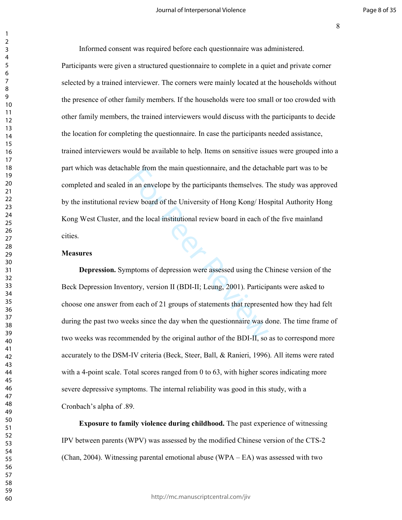Informed consent was required before each questionnaire was administered. Participants were given a structured questionnaire to complete in a quiet and private corner selected by a trained interviewer. The corners were mainly located at the households without the presence of other family members. If the households were too small or too crowded with other family members, the trained interviewers would discuss with the participants to decide the location for completing the questionnaire. In case the participants needed assistance, trained interviewers would be available to help. Items on sensitive issues were grouped into a part which was detachable from the main questionnaire, and the detachable part was to be completed and sealed in an envelope by the participants themselves. The study was approved by the institutional review board of the University of Hong Kong/ Hospital Authority Hong Kong West Cluster, and the local institutional review board in each of the five mainland cities.

### **Measures**

able from the main questionnaire, and the detact<br>
in an envelope by the participants themselves. T<br>
iew board of the University of Hong Kong/Hos<br>
d the local institutional review board in each of<br>
or the local institutiona **Depression.** Symptoms of depression were assessed using the Chinese version of the Beck Depression Inventory, version II (BDI-II; Leung, 2001). Participants were asked to choose one answer from each of 21 groups of statements that represented how they had felt during the past two weeks since the day when the questionnaire was done. The time frame of two weeks was recommended by the original author of the BDI-II, so as to correspond more accurately to the DSM-IV criteria (Beck, Steer, Ball, & Ranieri, 1996). All items were rated with a 4-point scale. Total scores ranged from 0 to 63, with higher scores indicating more severe depressive symptoms. The internal reliability was good in this study, with a Cronbach's alpha of .89.

**Exposure to family violence during childhood.** The past experience of witnessing IPV between parents (WPV) was assessed by the modified Chinese version of the CTS-2 (Chan, 2004). Witnessing parental emotional abuse (WPA – EA) was assessed with two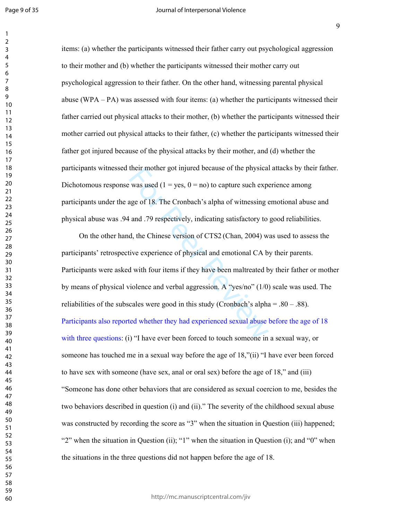items: (a) whether the participants witnessed their father carry out psychological aggression to their mother and (b) whether the participants witnessed their mother carry out psychological aggression to their father. On the other hand, witnessing parental physical abuse (WPA – PA) was assessed with four items: (a) whether the participants witnessed their father carried out physical attacks to their mother, (b) whether the participants witnessed their mother carried out physical attacks to their father, (c) whether the participants witnessed their father got injured because of the physical attacks by their mother, and (d) whether the participants witnessed their mother got injured because of the physical attacks by their father. Dichotomous response was used ( $1 = \text{ves}$ ,  $0 = \text{no}$ ) to capture such experience among participants under the age of 18. The Cronbach's alpha of witnessing emotional abuse and physical abuse was .94 and .79 respectively, indicating satisfactory to good reliabilities.

their mother got injured because of the physical<br>was used  $(1 = yes, 0 = no)$  to capture such expansion<br>age of 18. The Cronbach's alpha of witnessing  $\epsilon$ <br>and .79 respectively, indicating satisfactory to<br>d, the Chinese version o On the other hand, the Chinese version of CTS2 (Chan, 2004) was used to assess the participants' retrospective experience of physical and emotional CA by their parents. Participants were asked with four items if they have been maltreated by their father or mother by means of physical violence and verbal aggression. A "yes/no" (1/0) scale was used. The reliabilities of the subscales were good in this study (Cronbach's alpha  $= 0.80 - 0.88$ ). Participants also reported whether they had experienced sexual abuse before the age of 18 with three questions: (i) "I have ever been forced to touch someone in a sexual way, or someone has touched me in a sexual way before the age of 18,"(ii) "I have ever been forced to have sex with someone (have sex, anal or oral sex) before the age of 18," and (iii) "Someone has done other behaviors that are considered as sexual coercion to me, besides the two behaviors described in question (i) and (ii)." The severity of the childhood sexual abuse was constructed by recording the score as "3" when the situation in Question (iii) happened; "2" when the situation in Question (ii); "1" when the situation in Question (i); and "0" when the situations in the three questions did not happen before the age of 18.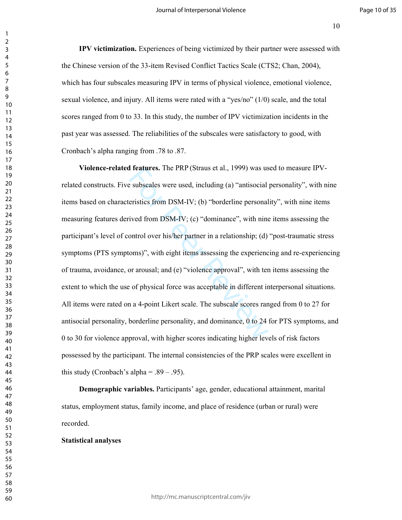**IPV victimization.** Experiences of being victimized by their partner were assessed with the Chinese version of the 33-item Revised Conflict Tactics Scale (CTS2; Chan, 2004), which has four subscales measuring IPV in terms of physical violence, emotional violence, sexual violence, and injury. All items were rated with a "yes/no" (1/0) scale, and the total scores ranged from 0 to 33. In this study, the number of IPV victimization incidents in the past year was assessed. The reliabilities of the subscales were satisfactory to good, with Cronbach's alpha ranging from .78 to .87.

**1 features.** The PKP (Straus et al., 1999) was us<br>
subscales were used, including (a) "antisocial<br>
eristics from DSM-IV; (b) "borderline personal<br>
ived from DSM-IV; (c) "dominance", with nine<br>
ontrol over his/her partner **Violence-related features.** The PRP (Straus et al., 1999) was used to measure IPVrelated constructs. Five subscales were used, including (a) "antisocial personality", with nine items based on characteristics from DSM-IV; (b) "borderline personality", with nine items measuring features derived from DSM-IV; (c) "dominance", with nine items assessing the participant's level of control over his/her partner in a relationship; (d) "post-traumatic stress symptoms (PTS symptoms)", with eight items assessing the experiencing and re-experiencing of trauma, avoidance, or arousal; and (e) "violence approval", with ten items assessing the extent to which the use of physical force was acceptable in different interpersonal situations. All items were rated on a 4-point Likert scale. The subscale scores ranged from 0 to 27 for antisocial personality, borderline personality, and dominance, 0 to 24 for PTS symptoms, and 0 to 30 for violence approval, with higher scores indicating higher levels of risk factors possessed by the participant. The internal consistencies of the PRP scales were excellent in this study (Cronbach's alpha =  $.89 - .95$ ).

**Demographic variables.** Participants' age, gender, educational attainment, marital status, employment status, family income, and place of residence (urban or rural) were recorded.

### **Statistical analyses**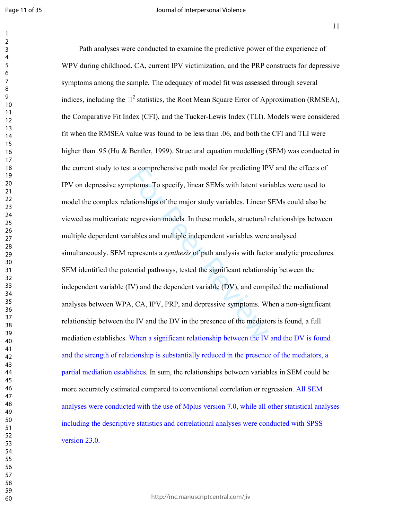t a comprehensive path model for predicting IP<br>ptoms. To specify, linear SEMs with latent variationships of the major study variables. Linear s<br>regression models. In these models, structural i<br>riables and multiple indepen Path analyses were conducted to examine the predictive power of the experience of WPV during childhood, CA, current IPV victimization, and the PRP constructs for depressive symptoms among the sample. The adequacy of model fit was assessed through several indices, including the  $P^2$  statistics, the Root Mean Square Error of Approximation (RMSEA), the Comparative Fit Index (CFI), and the Tucker-Lewis Index (TLI). Models were considered fit when the RMSEA value was found to be less than .06, and both the CFI and TLI were higher than .95 (Hu & Bentler, 1999). Structural equation modelling (SEM) was conducted in the current study to test a comprehensive path model for predicting IPV and the effects of IPV on depressive symptoms. To specify, linear SEMs with latent variables were used to model the complex relationships of the major study variables. Linear SEMs could also be viewed as multivariate regression models. In these models, structural relationships between multiple dependent variables and multiple independent variables were analysed simultaneously. SEM represents a *synthesis* of path analysis with factor analytic procedures. SEM identified the potential pathways, tested the significant relationship between the independent variable (IV) and the dependent variable (DV), and compiled the mediational analyses between WPA, CA, IPV, PRP, and depressive symptoms. When a non-significant relationship between the IV and the DV in the presence of the mediators is found, a full mediation establishes. When a significant relationship between the IV and the DV is found and the strength of relationship is substantially reduced in the presence of the mediators, a partial mediation establishes. In sum, the relationships between variables in SEM could be more accurately estimated compared to conventional correlation or regression. All SEM analyses were conducted with the use of Mplus version 7.0, while all other statistical analyses including the descriptive statistics and correlational analyses were conducted with SPSS version 23.0.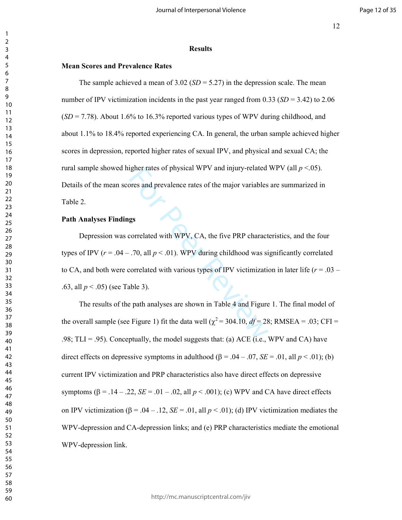#### **Results**

### **Mean Scores and Prevalence Rates**

The sample achieved a mean of  $3.02$  (*SD* = 5.27) in the depression scale. The mean number of IPV victimization incidents in the past year ranged from 0.33 (*SD* = 3.42) to 2.06  $(SD = 7.78)$ . About 1.6% to 16.3% reported various types of WPV during childhood, and about 1.1% to 18.4% reported experiencing CA. In general, the urban sample achieved higher scores in depression, reported higher rates of sexual IPV, and physical and sexual CA; the rural sample showed higher rates of physical WPV and injury-related WPV (all *p* <.05). Details of the mean scores and prevalence rates of the major variables are summarized in Table 2.

# **Path Analyses Findings**

Example 1 and prevalence rates of the major variables<br>
gs<br>
gs<br>
correlated with WPV, CA, the five PRP charact<br>
70, all  $p < .01$ ). WPV during childhood was si<br>
correlated with various types of IPV victimization<br>
able 3).<br>
Ex Depression was correlated with WPV, CA, the five PRP characteristics, and the four types of IPV ( $r = .04 - .70$ , all  $p < .01$ ). WPV during childhood was significantly correlated to CA, and both were correlated with various types of IPV victimization in later life ( $r = .03 -$ .63, all *p* < .05) (see Table 3).

The results of the path analyses are shown in Table 4 and Figure 1. The final model of the overall sample (see Figure 1) fit the data well ( $\chi^2$  = 304.10,  $df$  = 28; RMSEA = .03; CFI = .98; TLI = .95). Conceptually, the model suggests that: (a) ACE (i.e., WPV and CA) have direct effects on depressive symptoms in adulthood ( $\beta = .04 - .07$ ,  $SE = .01$ , all  $p < .01$ ); (b) current IPV victimization and PRP characteristics also have direct effects on depressive symptoms ( $\beta$  = .14 – .22, *SE* = .01 – .02, all  $p < .001$ ); (c) WPV and CA have direct effects on IPV victimization ( $\beta = .04 - .12$ ,  $SE = .01$ , all  $p < .01$ ); (d) IPV victimization mediates the WPV-depression and CA-depression links; and (e) PRP characteristics mediate the emotional WPV-depression link.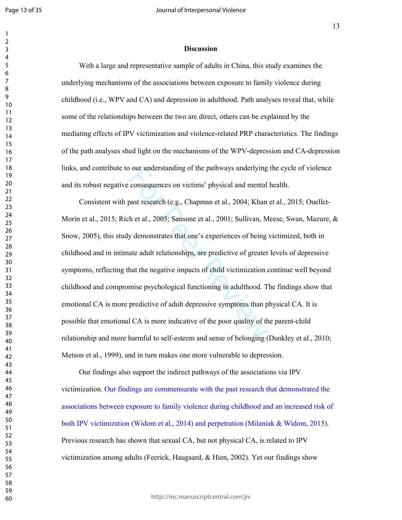#### **Discussion**

With a large and representative sample of adults in China, this study examines the underlying mechanisms of the associations between exposure to family violence during childhood (i.e., WPV and CA) and depression in adulthood. Path analyses reveal that, while some of the relationships between the two are direct, others can be explained by the mediating effects of IPV victimization and violence-related PRP characteristics. The findings of the path analyses shed light on the mechanisms of the WPV-depression and CA-depression links, and contribute to our understanding of the pathways underlying the cycle of violence and its robust negative consequences on victims' physical and mental health.

our understanding of the pathways underlying<br>consequences on victims' physical and mental<br>past research (e.g., Chapman et al., 2004; Khan<br>h et al., 2005; Sansone et al., 2001; Sullivan, M<br>y demonstrates that one's experien Consistent with past research (e.g., Chapman et al., 2004; Khan et al., 2015; Ouellet-Morin et al., 2015; Rich et al., 2005; Sansone et al., 2001; Sullivan, Meese, Swan, Mazure, & Snow, 2005), this study demonstrates that one's experiences of being victimized, both in childhood and in intimate adult relationships, are predictive of greater levels of depressive symptoms, reflecting that the negative impacts of child victimization continue well beyond childhood and compromise psychological functioning in adulthood. The findings show that emotional CA is more predictive of adult depressive symptoms than physical CA. It is possible that emotional CA is more indicative of the poor quality of the parent-child relationship and more harmful to self-esteem and sense of belonging (Dunkley et al., 2010; Metson et al., 1999), and in turn makes one more vulnerable to depression.

Our findings also support the indirect pathways of the associations via IPV victimization. Our findings are commensurate with the past research that demonstrated the associations between exposure to family violence during childhood and an increased risk of both IPV victimization (Widom et al., 2014) and perpetration (Milaniak & Widom, 2015). Previous research has shown that sexual CA, but not physical CA, is related to IPV victimization among adults (Feerick, Haugaard, & Hien, 2002). Yet our findings show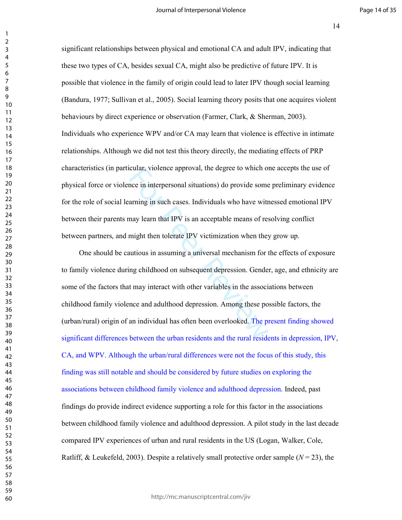significant relationships between physical and emotional CA and adult IPV, indicating that these two types of CA, besides sexual CA, might also be predictive of future IPV. It is possible that violence in the family of origin could lead to later IPV though social learning (Bandura, 1977; Sullivan et al., 2005). Social learning theory posits that one acquires violent behaviours by direct experience or observation (Farmer, Clark, & Sherman, 2003). Individuals who experience WPV and/or CA may learn that violence is effective in intimate relationships. Although we did not test this theory directly, the mediating effects of PRP characteristics (in particular, violence approval, the degree to which one accepts the use of physical force or violence in interpersonal situations) do provide some preliminary evidence for the role of social learning in such cases. Individuals who have witnessed emotional IPV between their parents may learn that IPV is an acceptable means of resolving conflict between partners, and might then tolerate IPV victimization when they grow up.

cular, violence approval, the degree to which of<br>the in interpersonal situations) do provide some<br>arning in such cases. Individuals who have witr<br>may learn that IPV is an acceptable means of res<br>might then tolerate IPV vic One should be cautious in assuming a universal mechanism for the effects of exposure to family violence during childhood on subsequent depression. Gender, age, and ethnicity are some of the factors that may interact with other variables in the associations between childhood family violence and adulthood depression. Among these possible factors, the (urban/rural) origin of an individual has often been overlooked. The present finding showed significant differences between the urban residents and the rural residents in depression, IPV, CA, and WPV. Although the urban/rural differences were not the focus of this study, this finding was still notable and should be considered by future studies on exploring the associations between childhood family violence and adulthood depression. Indeed, past findings do provide indirect evidence supporting a role for this factor in the associations between childhood family violence and adulthood depression. A pilot study in the last decade compared IPV experiences of urban and rural residents in the US (Logan, Walker, Cole, Ratliff, & Leukefeld, 2003). Despite a relatively small protective order sample  $(N = 23)$ , the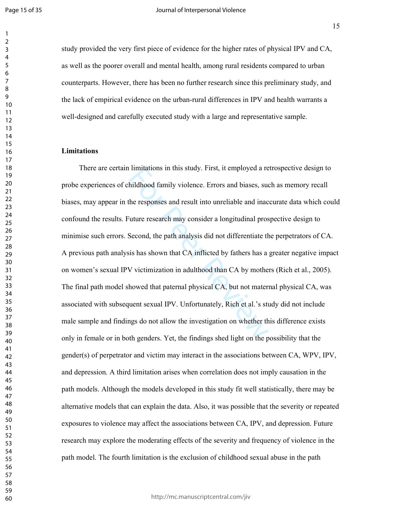study provided the very first piece of evidence for the higher rates of physical IPV and CA, as well as the poorer overall and mental health, among rural residents compared to urban counterparts. However, there has been no further research since this preliminary study, and the lack of empirical evidence on the urban-rural differences in IPV and health warrants a well-designed and carefully executed study with a large and representative sample.

# **Limitations**

Imitations in this study. First, it employed a re<br>hildhood family violence. Errors and biases, sue<br>the responses and result into unreliable and inac<br>iuture research may consider a longitudinal pros<br>Second, the path analysi There are certain limitations in this study. First, it employed a retrospective design to probe experiences of childhood family violence. Errors and biases, such as memory recall biases, may appear in the responses and result into unreliable and inaccurate data which could confound the results. Future research may consider a longitudinal prospective design to minimise such errors. Second, the path analysis did not differentiate the perpetrators of CA. A previous path analysis has shown that CA inflicted by fathers has a greater negative impact on women's sexual IPV victimization in adulthood than CA by mothers (Rich et al., 2005). The final path model showed that paternal physical CA, but not maternal physical CA, was associated with subsequent sexual IPV. Unfortunately, Rich et al.'s study did not include male sample and findings do not allow the investigation on whether this difference exists only in female or in both genders. Yet, the findings shed light on the possibility that the gender(s) of perpetrator and victim may interact in the associations between  $CA$ , WPV, IPV, and depression. A third limitation arises when correlation does not imply causation in the path models. Although the models developed in this study fit well statistically, there may be alternative models that can explain the data. Also, it was possible that the severity or repeated exposures to violence may affect the associations between CA, IPV, and depression. Future research may explore the moderating effects of the severity and frequency of violence in the path model. The fourth limitation is the exclusion of childhood sexual abuse in the path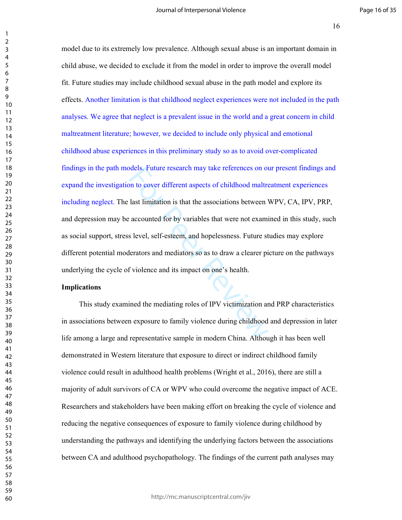Soles. Future research may take references on our observation is that the associations between vaccounted for by variables that were not examing level, self-esteem, and hopelessness. Future st lerators and mediators so as model due to its extremely low prevalence. Although sexual abuse is an important domain in child abuse, we decided to exclude it from the model in order to improve the overall model fit. Future studies may include childhood sexual abuse in the path model and explore its effects. Another limitation is that childhood neglect experiences were not included in the path analyses. We agree that neglect is a prevalent issue in the world and a great concern in child maltreatment literature; however, we decided to include only physical and emotional childhood abuse experiences in this preliminary study so as to avoid over-complicated findings in the path models. Future research may take references on our present findings and expand the investigation to cover different aspects of childhood maltreatment experiences including neglect. The last limitation is that the associations between WPV, CA, IPV, PRP, and depression may be accounted for by variables that were not examined in this study, such as social support, stress level, self-esteem, and hopelessness. Future studies may explore different potential moderators and mediators so as to draw a clearer picture on the pathways underlying the cycle of violence and its impact on one's health.

### **Implications**

This study examined the mediating roles of IPV victimization and PRP characteristics in associations between exposure to family violence during childhood and depression in later life among a large and representative sample in modern China. Although it has been well demonstrated in Western literature that exposure to direct or indirect childhood family violence could result in adulthood health problems (Wright et al., 2016), there are still a majority of adult survivors of CA or WPV who could overcome the negative impact of ACE. Researchers and stakeholders have been making effort on breaking the cycle of violence and reducing the negative consequences of exposure to family violence during childhood by understanding the pathways and identifying the underlying factors between the associations between CA and adulthood psychopathology. The findings of the current path analyses may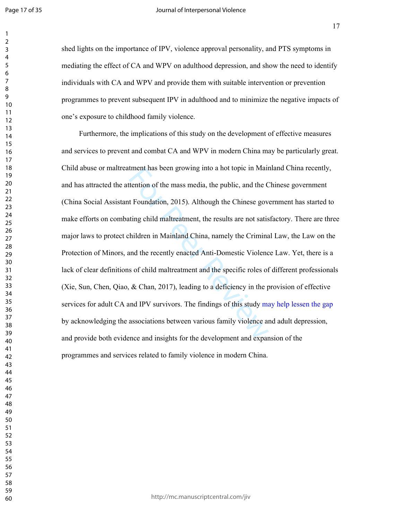shed lights on the importance of IPV, violence approval personality, and PTS symptoms in mediating the effect of CA and WPV on adulthood depression, and show the need to identify individuals with CA and WPV and provide them with suitable intervention or prevention programmes to prevent subsequent IPV in adulthood and to minimize the negative impacts of one's exposure to childhood family violence.

tment has been growing into a hot topic in Mair<br>tention of the mass media, the public, and the C<br>t Foundation, 2015). Although the Chinese gove<br>ting child maltreatment, the results are not satis<br>hildren in Mainland China, Furthermore, the implications of this study on the development of effective measures and services to prevent and combat CA and WPV in modern China may be particularly great. Child abuse or maltreatment has been growing into a hot topic in Mainland China recently, and has attracted the attention of the mass media, the public, and the Chinese government (China Social Assistant Foundation, 2015). Although the Chinese government has started to make efforts on combating child maltreatment, the results are not satisfactory. There are three major laws to protect children in Mainland China, namely the Criminal Law, the Law on the Protection of Minors, and the recently enacted Anti-Domestic Violence Law. Yet, there is a lack of clear definitions of child maltreatment and the specific roles of different professionals (Xie, Sun, Chen, Qiao, & Chan, 2017), leading to a deficiency in the provision of effective services for adult CA and IPV survivors. The findings of this study may help lessen the gap by acknowledging the associations between various family violence and adult depression, and provide both evidence and insights for the development and expansion of the programmes and services related to family violence in modern China.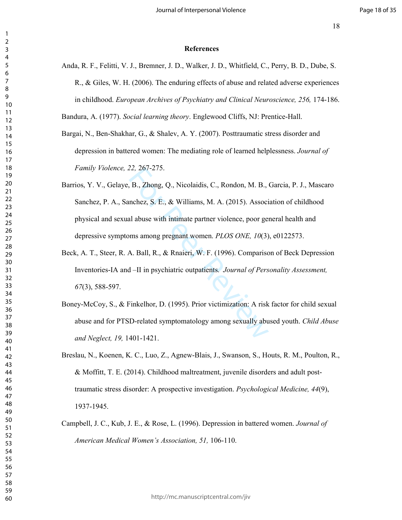### **References**

Anda, R. F., Felitti, V. J., Bremner, J. D., Walker, J. D., Whitfield, C., Perry, B. D., Dube, S. R., & Giles, W. H. (2006). The enduring effects of abuse and related adverse experiences in childhood. *European Archives of Psychiatry and Clinical Neuroscience, 256,* 174-186.

Bandura, A. (1977). *Social learning theory*. Englewood Cliffs, NJ: Prentice-Hall.

- Bargai, N., Ben-Shakhar, G., & Shalev, A. Y. (2007). Posttraumatic stress disorder and depression in battered women: The mediating role of learned helplessness. *Journal of Family Violence, 22,* 267-275.
- 22, 26/-2/5.<br>
B., Zhong, Q., Nicolaidis, C., Rondon, M. B.,  $n$ , nchez, S. E., & Williams, M. A. (2015). Associal abuse with intimate partner violence, poor gentles are poor gentless all abuse with intimate partner violen Barrios, Y. V., Gelaye, B., Zhong, Q., Nicolaidis, C., Rondon, M. B., Garcia, P. J., Mascaro Sanchez, P. A., Sanchez, S. E., & Williams, M. A. (2015). Association of childhood physical and sexual abuse with intimate partner violence, poor general health and depressive symptoms among pregnant women. *PLOS ONE, 10*(3), e0122573.
- Beck, A. T., Steer, R. A. Ball, R., & Rnaieri, W. F. (1996). Comparison of Beck Depression Inventories-IA and –II in psychiatric outpatients. *Journal of Personality Assessment,*  (3), 588-597.
- Boney-McCoy, S., & Finkelhor, D. (1995). Prior victimization: A risk factor for child sexual abuse and for PTSD-related symptomatology among sexually abused youth. *Child Abuse and Neglect, 19,* 1401-1421.
- Breslau, N., Koenen, K. C., Luo, Z., Agnew-Blais, J., Swanson, S., Houts, R. M., Poulton, R., & Moffitt, T. E. (2014). Childhood maltreatment, juvenile disorders and adult posttraumatic stress disorder: A prospective investigation. *Psychological Medicine, 44*(9), 1937-1945.
- Campbell, J. C., Kub, J. E., & Rose, L. (1996). Depression in battered women. *Journal of American Medical Women's Association, 51,* 106-110.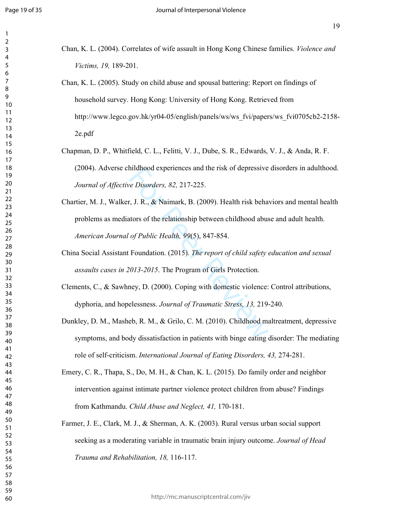- Chan, K. L. (2004). Correlates of wife assault in Hong Kong Chinese families. *Violence and Victims, 19,* 189-201.
- Chan, K. L. (2005). Study on child abuse and spousal battering: Report on findings of household survey. Hong Kong: University of Hong Kong. Retrieved from http://www.legco.gov.hk/yr04-05/english/panels/ws/ws\_fvi/papers/ws\_fvi0705cb2-2158- 2e.pdf
- Chapman, D. P., Whitfield, C. L., Felitti, V. J., Dube, S. R., Edwards, V. J., & Anda, R. F. (2004). Adverse childhood experiences and the risk of depressive disorders in adulthood. *Journal of Affective Disorders, 82,* 217-225.
- nilahood experiences and the risk of depressive<br>
e Disorders, 82, 217-225.<br>
r, J. R., & Naimark, B. (2009). Health risk behat<br>
tors of the relationship between childhood abus<br>
of Public Health, 99(5), 847-854.<br>
Foundation. Chartier, M. J., Walker, J. R., & Naimark, B. (2009). Health risk behaviors and mental health problems as mediators of the relationship between childhood abuse and adult health. *American Journal of Public Health, 99*(5), 847-854.
- China Social Assistant Foundation. (2015). *The report of child safety education and sexual assaults cases in 2013-2015*. The Program of Girls Protection.
- Clements, C., & Sawhney, D. (2000). Coping with domestic violence: Control attributions, dyphoria, and hopelessness. *Journal of Traumatic Stress, 13,* 219-240.
- Dunkley, D. M., Masheb, R. M., & Grilo, C. M. (2010). Childhood maltreatment, depressive symptoms, and body dissatisfaction in patients with binge eating disorder: The mediating role of self-criticism. *International Journal of Eating Disorders, 43,* 274-281.
- Emery, C. R., Thapa, S., Do, M. H., & Chan, K. L. (2015). Do family order and neighbor intervention against intimate partner violence protect children from abuse? Findings from Kathmandu. *Child Abuse and Neglect, 41,* 170-181.
- Farmer, J. E., Clark, M. J., & Sherman, A. K. (2003). Rural versus urban social support seeking as a moderating variable in traumatic brain injury outcome. *Journal of Head Trauma and Rehabilitation, 18,* 116-117.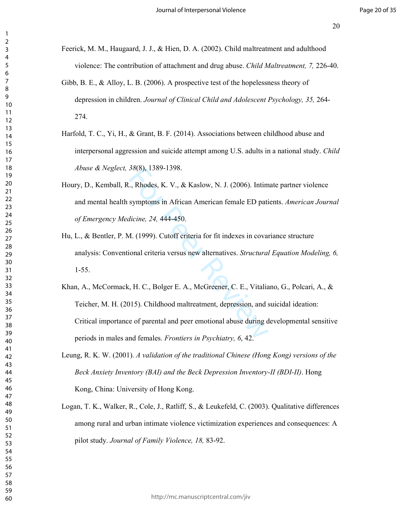- Feerick, M. M., Haugaard, J. J., & Hien, D. A. (2002). Child maltreatment and adulthood violence: The contribution of attachment and drug abuse. *Child Maltreatment, 7,* 226-40.
- Gibb, B. E., & Alloy, L. B. (2006). A prospective test of the hopelessness theory of depression in children. *Journal of Clinical Child and Adolescent Psychology, 35,* 264- 274.
- Harfold, T. C., Yi, H., & Grant, B. F. (2014). Associations between childhood abuse and interpersonal aggression and suicide attempt among U.S. adults in a national study. *Child Abuse & Neglect, 38*(8), 1389-1398.
- Houry, D., Kemball, R., Rhodes, K. V., & Kaslow, N. J. (2006). Intimate partner violence and mental health symptoms in African American female ED patients. *American Journal of Emergency Medicine, 24,* 444-450.
- Hu, L., & Bentler, P. M. (1999). Cutoff criteria for fit indexes in covariance structure analysis: Conventional criteria versus new alternatives. *Structural Equation Modeling, 6,* 1-55.
- 38(8), 1389-1398.<br>
.., Rhodes, K. V., & Kaslow, N. J. (2006). Intim<br>
symptoms in African American female ED pati<br> *dicine*, 24, 444-450.<br> *A.* (1999). Cutoff criteria for fit indexes in covar<br>
ional criteria versus new alt Khan, A., McCormack, H. C., Bolger E. A., McGreener, C. E., Vitaliano, G., Polcari, A., & Teicher, M. H. (2015). Childhood maltreatment, depression, and suicidal ideation: Critical importance of parental and peer emotional abuse during developmental sensitive periods in males and females. *Frontiers in Psychiatry, 6*, 42.
- Leung, R. K. W. (2001). *A validation of the traditional Chinese (Hong Kong) versions of the Beck Anxiety Inventory (BAI) and the Beck Depression Inventory-II (BDI-II)*. Hong Kong, China: University of Hong Kong.
- Logan, T. K., Walker, R., Cole, J., Ratliff, S., & Leukefeld, C. (2003). Qualitative differences among rural and urban intimate violence victimization experiences and consequences: A pilot study. *Journal of Family Violence, 18,* 83-92.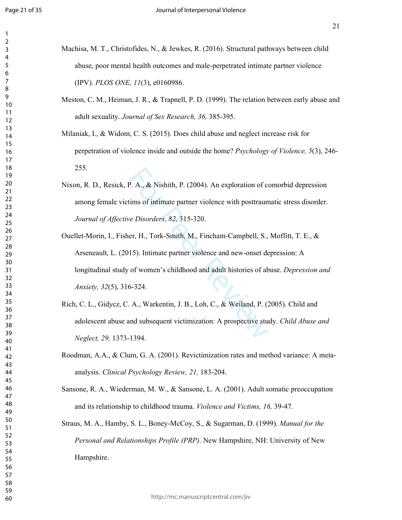- Machisa, M. T., Christofides, N., & Jewkes, R. (2016). Structural pathways between child abuse, poor mental health outcomes and male-perpetrated intimate partner violence (IPV). *PLOS ONE, 11*(3), e0160986.
- Meston, C. M., Heiman, J. R., & Trapnell, P. D. (1999). The relation between early abuse and adult sexuality. *Journal of Sex Research, 36,* 385-395.
- Milaniak, I., & Widom, C. S. (2015). Does child abuse and neglect increase risk for perpetration of violence inside and outside the home? *Psychology of Violence, 5*(3), 246- 255.
- Nixon, R. D., Resick, P. A., & Nishith, P. (2004). An exploration of comorbid depression among female victims of intimate partner violence with posttraumatic stress disorder. *Journal of Affective Disorders, 82,* 315-320.
- P. A., & Nishith, P. (2004). An exploration of comments of intimate partner violence with posttraum<br> *ee Disorders*, 82, 315-320.<br>
er, H., Tork-Smith, M., Fincham-Campbell, S.,<br>
15). Intimate partner violence and new-onse Ouellet-Morin, I., Fisher, H., Tork-Smith, M., Fincham-Campbell, S., Moffitt, T. E., & Arseneault, L. (2015). Intimate partner violence and new-onset depression: A longitudinal study of women's childhood and adult histories of abuse. *Depression and Anxiety, 32*(5), 316-324.
- Rich, C. L., Gidycz, C. A., Warkentin, J. B., Loh, C., & Weiland, P. (2005). Child and adolescent abuse and subsequent victimization: A prospective study. *Child Abuse and Neglect, 29,* 1373-1394.
- Roodman, A.A., & Clum, G. A. (2001). Revictimization rates and method variance: A metaanalysis. *Clinical Psychology Review, 21,* 183-204.
- Sansone, R. A., Wiederman, M. W., & Sansone, L. A. (2001). Adult somatic preoccupation and its relationship to childhood trauma. *Violence and Victims, 16,* 39-47.

Straus, M. A., Hamby, S. L., Boney-McCoy, S., & Sugarman, D. (1999). *Manual for the Personal and Relationships Profile (PRP)*. New Hampshire, NH: University of New Hampshire.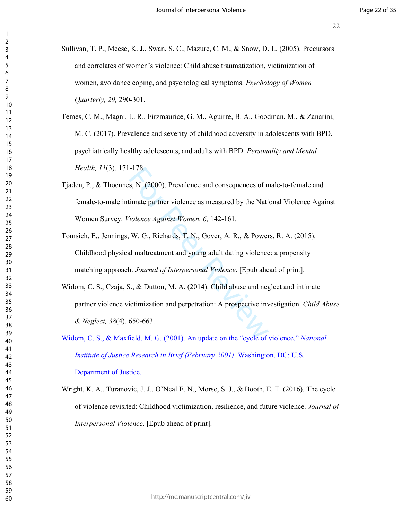- Sullivan, T. P., Meese, K. J., Swan, S. C., Mazure, C. M., & Snow, D. L. (2005). Precursors and correlates of women's violence: Child abuse traumatization, victimization of women, avoidance coping, and psychological symptoms. *Psychology of Women Quarterly, 29,* 290-301.
- Temes, C. M., Magni, L. R., Firzmaurice, G. M., Aguirre, B. A., Goodman, M., & Zanarini, M. C. (2017). Prevalence and severity of childhood adversity in adolescents with BPD, psychiatrically healthy adolescents, and adults with BPD. *Personality and Mental Health, 11*(3), 171-178.
- -178.<br>
s, N. (2000). Prevalence and consequences of n<br>
timate partner violence as measured by the Nati<br> *iolence Against Women, 6, 142-161*.<br>
W. G., Richards, T. N., Gover, A. R., & Power<br>
all maltreatment and young adult Tjaden, P., & Thoennes, N. (2000). Prevalence and consequences of male-to-female and female-to-male intimate partner violence as measured by the National Violence Against Women Survey. *Violence Against Women, 6,* 142-161.
- Tomsich, E., Jennings, W. G., Richards, T. N., Gover, A. R., & Powers, R. A. (2015). Childhood physical maltreatment and young adult dating violence: a propensity matching approach. *Journal of Interpersonal Violence*. [Epub ahead of print].
- Widom, C. S., Czaja, S., & Dutton, M. A. (2014). Child abuse and neglect and intimate partner violence victimization and perpetration: A prospective investigation. *Child Abuse & Neglect, 38*(4), 650-663.
- Widom, C. S., & Maxfield, M. G. (2001). An update on the "cycle of violence." *National Institute of Justice Research in Brief (February 2001)*. Washington, DC: U.S. Department of Justice.
- Wright, K. A., Turanovic, J. J., O'Neal E. N., Morse, S. J., & Booth, E. T. (2016). The cycle of violence revisited: Childhood victimization, resilience, and future violence. *Journal of Interpersonal Violence*. [Epub ahead of print].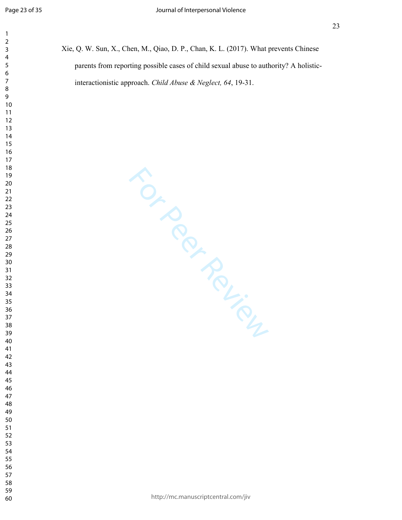| Xie, Q. W. Sun, X., Chen, M., Qiao, D. P., Chan, K. L. (2017). What prevents Chinese  |
|---------------------------------------------------------------------------------------|
| parents from reporting possible cases of child sexual abuse to authority? A holistic- |
| interactionistic approach. Child Abuse & Neglect, $64$ , 19-31.                       |

For Per Review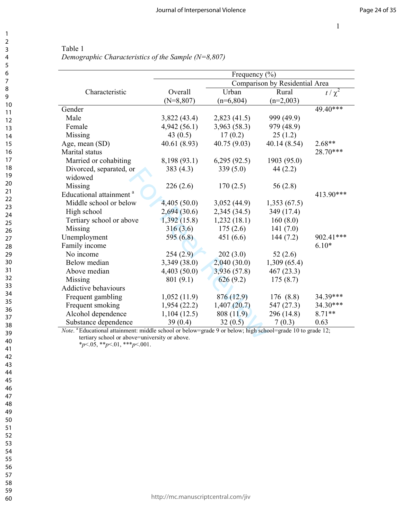$\overline{\phantom{0}}$ 

|                                                                                                                                               | Frequency $(\% )$ |              |                                |            |  |  |  |
|-----------------------------------------------------------------------------------------------------------------------------------------------|-------------------|--------------|--------------------------------|------------|--|--|--|
|                                                                                                                                               |                   |              | Comparison by Residential Area |            |  |  |  |
| Characteristic                                                                                                                                | Overall           | Urban        | Rural                          | $t/\chi^2$ |  |  |  |
|                                                                                                                                               | $(N=8,807)$       | $(n=6,804)$  | $(n=2,003)$                    |            |  |  |  |
| Gender                                                                                                                                        |                   |              |                                | $49.40***$ |  |  |  |
| Male                                                                                                                                          | 3,822(43.4)       | 2,823(41.5)  | 999 (49.9)                     |            |  |  |  |
| Female                                                                                                                                        | 4,942(56.1)       | 3,963 (58.3) | 979 (48.9)                     |            |  |  |  |
| Missing                                                                                                                                       | 43 $(0.5)$        | 17(0.2)      | 25(1.2)                        |            |  |  |  |
| Age, mean (SD)                                                                                                                                | 40.61 (8.93)      | 40.75 (9.03) | 40.14 (8.54)                   | $2.68**$   |  |  |  |
| Marital status                                                                                                                                |                   |              |                                | 28.70***   |  |  |  |
| Married or cohabiting                                                                                                                         | 8,198 (93.1)      | 6,295(92.5)  | 1903 (95.0)                    |            |  |  |  |
| Divorced, separated, or                                                                                                                       | 383(4.3)          | 339(5.0)     | 44(2.2)                        |            |  |  |  |
| widowed                                                                                                                                       |                   |              |                                |            |  |  |  |
| Missing                                                                                                                                       | 226(2.6)          | 170(2.5)     | 56(2.8)                        |            |  |  |  |
| Educational attainment <sup>a</sup>                                                                                                           |                   |              |                                | 413.90***  |  |  |  |
| Middle school or below                                                                                                                        | 4,405(50.0)       | 3,052(44.9)  | 1,353(67.5)                    |            |  |  |  |
| High school                                                                                                                                   | 2,694(30.6)       | 2,345(34.5)  | 349 (17.4)                     |            |  |  |  |
| Tertiary school or above                                                                                                                      | 1,392(15.8)       | 1,232(18.1)  | 160(8.0)                       |            |  |  |  |
| Missing                                                                                                                                       | 316(3.6)          | 175(2.6)     | 141 $(7.0)$                    |            |  |  |  |
| Unemployment                                                                                                                                  | 595 $(6.8)$       | 451(6.6)     | 144(7.2)                       | 902.41***  |  |  |  |
| Family income                                                                                                                                 |                   |              |                                | $6.10*$    |  |  |  |
| No income                                                                                                                                     | 254(2.9)          | 202(3.0)     | 52(2.6)                        |            |  |  |  |
| Below median                                                                                                                                  | 3,349 (38.0)      | 2,040(30.0)  | 1,309(65.4)                    |            |  |  |  |
| Above median                                                                                                                                  | 4,403(50.0)       | 3,936 (57.8) | 467(23.3)                      |            |  |  |  |
| Missing                                                                                                                                       | 801(9.1)          | 626(9.2)     | 175(8.7)                       |            |  |  |  |
| <b>Addictive behaviours</b>                                                                                                                   |                   |              |                                |            |  |  |  |
| Frequent gambling                                                                                                                             | 1,052(11.9)       | 876 (12.9)   | 176 (8.8)                      | 34.39***   |  |  |  |
| Frequent smoking                                                                                                                              | 1,954(22.2)       | 1,407(20.7)  | 547 (27.3)                     | 34.30***   |  |  |  |
| Alcohol dependence                                                                                                                            | 1,104(12.5)       | 808(11.9)    | 296 (14.8)                     | $8.71**$   |  |  |  |
| Substance dependence<br>Note. <sup>a</sup> Educational attainment: middle school or below=grade 9 or below; high school=grade 10 to grade 12; | 39(0.4)           | 32(0.5)      | 7(0.3)                         | 0.63       |  |  |  |

Table 1 *Demographic Characteristics of the Sample (N=8,807)* 

*Note*. <sup>a</sup> Educational attainment: middle school or below=grade 9 or below; high school=grade 10 to grade 12; tertiary school or above=university or above.

\**p*<.05, \*\**p*<.01, \*\*\**p*<.001.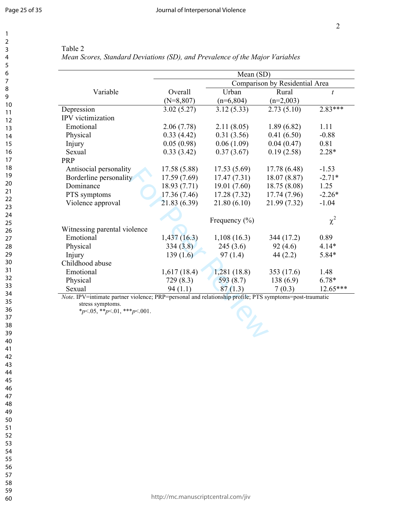|                              |              | Mean (SD)         |                                |              |  |
|------------------------------|--------------|-------------------|--------------------------------|--------------|--|
|                              |              |                   | Comparison by Residential Area |              |  |
| Variable                     | Overall      | Urban             | Rural                          | $\mathbf{t}$ |  |
|                              | $(N=8,807)$  | $(n=6,804)$       | $(n=2,003)$                    |              |  |
| Depression                   | 3.02(5.27)   | 3.12(5.33)        | 2.73(5.10)                     | $2.83***$    |  |
| IPV victimization            |              |                   |                                |              |  |
| Emotional                    | 2.06(7.78)   | 2.11(8.05)        | 1.89(6.82)                     | 1.11         |  |
| Physical                     | 0.33(4.42)   | 0.31(3.56)        | 0.41(6.50)                     | $-0.88$      |  |
| Injury                       | 0.05(0.98)   | 0.06(1.09)        | 0.04(0.47)                     | 0.81         |  |
| Sexual                       | 0.33(3.42)   | 0.37(3.67)        | 0.19(2.58)                     | $2.28*$      |  |
| PRP                          |              |                   |                                |              |  |
| Antisocial personality       | 17.58 (5.88) | 17.53(5.69)       | 17.78 (6.48)                   | $-1.53$      |  |
| Borderline personality       | 17.59(7.69)  | 17.47(7.31)       | 18.07(8.87)                    | $-2.71*$     |  |
| Dominance                    | 18.93 (7.71) | 19.01(7.60)       | 18.75 (8.08)                   | 1.25         |  |
| PTS symptoms                 | 17.36(7.46)  | 17.28(7.32)       | 17.74(7.96)                    | $-2.26*$     |  |
| Violence approval            | 21.83 (6.39) | 21.80(6.10)       | 21.99 (7.32)                   | $-1.04$      |  |
|                              |              | Frequency $(\% )$ |                                | $\chi^2$     |  |
| Witnessing parental violence |              |                   |                                |              |  |
| Emotional                    | 1,437(16.3)  | 1,108(16.3)       | 344 (17.2)                     | 0.89         |  |
| Physical                     | 334(3.8)     | 245(3.6)          | 92(4.6)                        | $4.14*$      |  |
| Injury                       | 139(1.6)     | 97(1.4)           | 44(2.2)                        | 5.84*        |  |
| Childhood abuse              |              |                   |                                |              |  |
| Emotional                    | 1,617(18.4)  | 1,281(18.8)       | 353 (17.6)                     | 1.48         |  |
|                              | 729 (8.3)    | 593 $(8.7)$       | 138(6.9)                       | 6.78*        |  |
| Physical                     |              |                   | 7(0.3)                         | $12.65***$   |  |

| anie |  |
|------|--|
|      |  |

*Mean Scores, Standard Deviations (SD), and Prevalence of the Major Variables*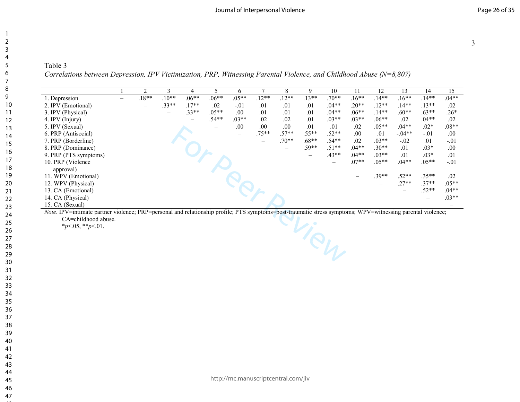# Table 3 *Correlations between Depression, IPV Victimization, PRP, Witnessing Parental Violence, and Childhood Abuse (N=8,807)*

| 1. Depression<br>2. IPV (Emotional)<br>3. IPV (Physical)<br>4. IPV (Injury)<br>5. IPV (Sexual)<br>6. PRP (Antisocial)<br>7. PRP (Borderline)<br>8. PRP (Dominance)<br>9. PRP (PTS symptoms)<br>10. PRP (Violence<br>approval)<br>11. WPV (Emotional)<br>12. WPV (Physical)<br>13. CA (Emotional) | $\overline{\phantom{0}}$ | $.18**$<br>$\overline{\phantom{0}}$ | $.10**$<br>$.33**$<br>$\overline{\phantom{0}}$ | $.06**$<br>$.17**$<br>$.33**$ | $.06**$<br>.02<br>$.05**$<br>$.54**$ | $.05**$<br>$-.01$<br>.00.<br>$.03**$<br>.00<br>$\equiv$ | $.12**$<br>.01<br>.01<br>.02<br>.00.<br>$.75**$ | $.12**$<br>.01<br>.01<br>.02<br>.00.<br>$.57**$<br>$.70**$ | $.13**$<br>.01<br>.01<br>.01<br>.01<br>$.55**$ | $.70**$<br>$.04**$<br>$.04**$<br>$.03**$<br>.01<br>$.52**$ | $.16***$<br>$.20**$<br>$.06**$<br>$.03**$<br>.02<br>.00. | $.14**$<br>$.12**$<br>$.14**$<br>$.06**$<br>$.05**$<br>.01 | $.16**$<br>$.14**$<br>$.60**$<br>$.02\,$<br>$.04**$<br>$-.04**$ | $.14**$<br>$.13**$<br>$.63**$<br>$.04**$<br>$.02*$<br>$-.01$ | $.04**$<br>.02<br>$.26*$<br>.02<br>$.08**$<br>.00. |
|--------------------------------------------------------------------------------------------------------------------------------------------------------------------------------------------------------------------------------------------------------------------------------------------------|--------------------------|-------------------------------------|------------------------------------------------|-------------------------------|--------------------------------------|---------------------------------------------------------|-------------------------------------------------|------------------------------------------------------------|------------------------------------------------|------------------------------------------------------------|----------------------------------------------------------|------------------------------------------------------------|-----------------------------------------------------------------|--------------------------------------------------------------|----------------------------------------------------|
|                                                                                                                                                                                                                                                                                                  |                          |                                     |                                                |                               |                                      |                                                         |                                                 |                                                            |                                                |                                                            |                                                          |                                                            |                                                                 |                                                              |                                                    |
|                                                                                                                                                                                                                                                                                                  |                          |                                     |                                                |                               |                                      |                                                         |                                                 |                                                            |                                                |                                                            |                                                          |                                                            |                                                                 |                                                              |                                                    |
|                                                                                                                                                                                                                                                                                                  |                          |                                     |                                                |                               |                                      |                                                         |                                                 |                                                            |                                                |                                                            |                                                          |                                                            |                                                                 |                                                              |                                                    |
|                                                                                                                                                                                                                                                                                                  |                          |                                     |                                                |                               |                                      |                                                         |                                                 |                                                            |                                                |                                                            |                                                          |                                                            |                                                                 |                                                              |                                                    |
|                                                                                                                                                                                                                                                                                                  |                          |                                     |                                                |                               |                                      |                                                         |                                                 |                                                            |                                                |                                                            |                                                          |                                                            |                                                                 |                                                              |                                                    |
|                                                                                                                                                                                                                                                                                                  |                          |                                     |                                                |                               |                                      |                                                         |                                                 |                                                            |                                                |                                                            |                                                          |                                                            |                                                                 |                                                              |                                                    |
|                                                                                                                                                                                                                                                                                                  |                          |                                     |                                                |                               |                                      |                                                         |                                                 |                                                            | $.68**$                                        | $.54**$                                                    | .02                                                      | $.03**$                                                    | $-.02$                                                          | .01                                                          | $-.01$                                             |
|                                                                                                                                                                                                                                                                                                  |                          |                                     |                                                |                               |                                      |                                                         |                                                 |                                                            | $.59**$                                        | $.51**$                                                    | $.04**$                                                  | $.30**$                                                    | .01                                                             | $.03*$                                                       | $.00\,$                                            |
|                                                                                                                                                                                                                                                                                                  |                          |                                     |                                                |                               |                                      |                                                         |                                                 |                                                            |                                                | $.43**$                                                    | $.04**$                                                  | $.03**$                                                    | .01                                                             | $.03*$                                                       | .01                                                |
|                                                                                                                                                                                                                                                                                                  |                          |                                     |                                                |                               |                                      |                                                         |                                                 |                                                            |                                                |                                                            | $.07**$                                                  | $.05**$                                                    | $.04**$                                                         | $.05**$                                                      | $-.01$                                             |
|                                                                                                                                                                                                                                                                                                  |                          |                                     |                                                |                               |                                      | <b>Peer</b>                                             |                                                 |                                                            |                                                |                                                            |                                                          |                                                            |                                                                 |                                                              |                                                    |
|                                                                                                                                                                                                                                                                                                  |                          |                                     |                                                |                               |                                      |                                                         |                                                 |                                                            |                                                |                                                            |                                                          | $.39**$                                                    | $.52**$                                                         | $.35**$                                                      | .02                                                |
|                                                                                                                                                                                                                                                                                                  |                          |                                     |                                                |                               |                                      |                                                         |                                                 |                                                            |                                                |                                                            |                                                          | $\qquad \qquad -$                                          | $.27**$                                                         | $.37**$                                                      | $.05**$                                            |
|                                                                                                                                                                                                                                                                                                  |                          |                                     |                                                |                               |                                      |                                                         |                                                 |                                                            |                                                |                                                            |                                                          |                                                            |                                                                 | $.52**$                                                      | $.04**$                                            |
|                                                                                                                                                                                                                                                                                                  |                          |                                     |                                                |                               |                                      |                                                         |                                                 |                                                            |                                                |                                                            |                                                          |                                                            |                                                                 | $\overline{\phantom{0}}$                                     | $.03**$                                            |
| 14. CA (Physical)<br>15. CA (Sexual)                                                                                                                                                                                                                                                             |                          |                                     |                                                |                               |                                      |                                                         |                                                 |                                                            |                                                |                                                            |                                                          |                                                            |                                                                 |                                                              |                                                    |
|                                                                                                                                                                                                                                                                                                  |                          |                                     |                                                |                               |                                      |                                                         |                                                 |                                                            |                                                | View                                                       |                                                          |                                                            |                                                                 |                                                              |                                                    |
|                                                                                                                                                                                                                                                                                                  |                          |                                     |                                                |                               |                                      |                                                         |                                                 |                                                            |                                                |                                                            |                                                          |                                                            |                                                                 |                                                              |                                                    |
|                                                                                                                                                                                                                                                                                                  |                          |                                     |                                                |                               |                                      |                                                         |                                                 |                                                            |                                                |                                                            |                                                          |                                                            |                                                                 |                                                              |                                                    |
|                                                                                                                                                                                                                                                                                                  |                          |                                     |                                                |                               |                                      |                                                         |                                                 |                                                            |                                                |                                                            |                                                          |                                                            |                                                                 |                                                              |                                                    |
|                                                                                                                                                                                                                                                                                                  |                          |                                     |                                                |                               |                                      |                                                         |                                                 |                                                            |                                                |                                                            |                                                          |                                                            |                                                                 |                                                              |                                                    |
|                                                                                                                                                                                                                                                                                                  |                          |                                     |                                                |                               |                                      |                                                         |                                                 |                                                            |                                                |                                                            |                                                          |                                                            |                                                                 |                                                              |                                                    |
|                                                                                                                                                                                                                                                                                                  |                          |                                     |                                                |                               |                                      |                                                         |                                                 |                                                            |                                                |                                                            |                                                          |                                                            |                                                                 |                                                              |                                                    |
|                                                                                                                                                                                                                                                                                                  |                          |                                     |                                                |                               |                                      |                                                         |                                                 |                                                            |                                                |                                                            |                                                          |                                                            |                                                                 |                                                              |                                                    |
|                                                                                                                                                                                                                                                                                                  |                          |                                     |                                                |                               |                                      |                                                         |                                                 |                                                            |                                                |                                                            |                                                          |                                                            |                                                                 |                                                              |                                                    |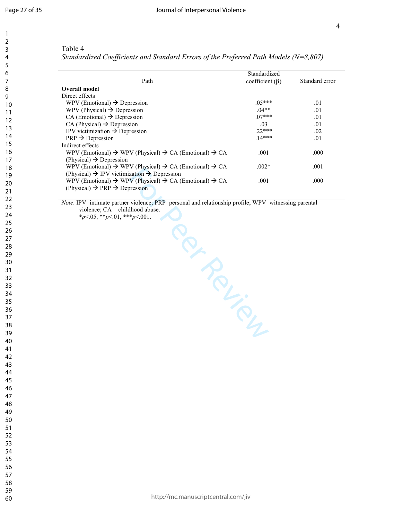$\mathbf{1}$  $\overline{2}$ 3  $\overline{4}$ 5 6  $\overline{7}$ 8 9

# Table 4

*Standardized Coefficients and Standard Errors of the Preferred Path Models (N=8,807)* 

|                                                                                            | Standardized          |                |
|--------------------------------------------------------------------------------------------|-----------------------|----------------|
| Path                                                                                       | coefficient $(\beta)$ | Standard error |
| Overall model                                                                              |                       |                |
| Direct effects                                                                             |                       |                |
| WPV (Emotional) $\rightarrow$ Depression                                                   | $.05***$              | .01            |
| WPV (Physical) $\rightarrow$ Depression                                                    | $04**$                | .01            |
| $CA (Emotional) \rightarrow Depression$                                                    | $07***$               | .01            |
| $CA$ (Physical) $\rightarrow$ Depression                                                   | .03                   | .01            |
| IPV victimization $\rightarrow$ Depression                                                 | $22***$               | .02            |
| $PRP \rightarrow Depression$                                                               | $14***$               | .01            |
| Indirect effects                                                                           |                       |                |
| WPV (Emotional) $\rightarrow$ WPV (Physical) $\rightarrow$ CA (Emotional) $\rightarrow$ CA | .001                  | .000           |
| (Physical) $\rightarrow$ Depression                                                        |                       |                |
| WPV (Emotional) $\rightarrow$ WPV (Physical) $\rightarrow$ CA (Emotional) $\rightarrow$ CA | $.002*$               | .001           |
| (Physical) $\rightarrow$ IPV victimization $\rightarrow$ Depression                        |                       |                |
| WPV (Emotional) $\rightarrow$ WPV (Physical) $\rightarrow$ CA (Emotional) $\rightarrow$ CA | .001                  | .000           |
| (Physical) $\rightarrow$ PRP $\rightarrow$ Depression                                      |                       |                |

*Note*. IPV=intimate partner violence; PRP=personal and relationship profile; WPV=witnessing parental

For Peer Review

 $*_{p<.05, *p<.01, **p<.001.}$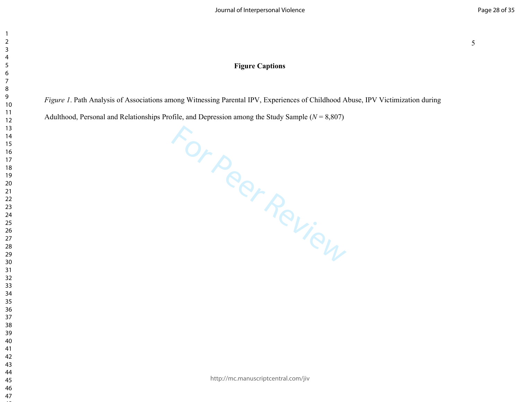# **Figure Captions**

*Figure 1*. Path Analysis of Associations among Witnessing Parental IPV, Experiences of Childhood Abuse, IPV Victimization during

Adulthood, Personal and Relationships Profile, and Depression among the Study Sample (*N* = 8,807)

For Peer Review